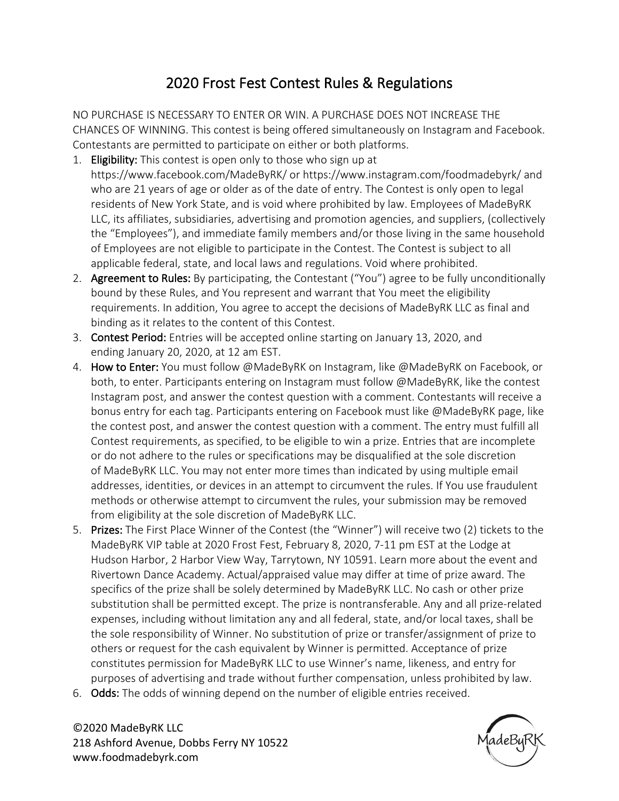# 2020 Frost Fest Contest Rules & Regulations

NO PURCHASE IS NECESSARY TO ENTER OR WIN. A PURCHASE DOES NOT INCREASE THE CHANCES OF WINNING. This contest is being offered simultaneously on Instagram and Facebook. Contestants are permitted to participate on either or both platforms.

- 1. Eligibility: This contest is open only to those who sign up at https://www.facebook.com/MadeByRK/ or https://www.instagram.com/foodmadebyrk/ and who are 21 years of age or older as of the date of entry. The Contest is only open to legal residents of New York State, and is void where prohibited by law. Employees of MadeByRK LLC, its affiliates, subsidiaries, advertising and promotion agencies, and suppliers, (collectively the "Employees"), and immediate family members and/or those living in the same household of Employees are not eligible to participate in the Contest. The Contest is subject to all applicable federal, state, and local laws and regulations. Void where prohibited.
- 2. Agreement to Rules: By participating, the Contestant ("You") agree to be fully unconditionally bound by these Rules, and You represent and warrant that You meet the eligibility requirements. In addition, You agree to accept the decisions of MadeByRK LLC as final and binding as it relates to the content of this Contest.
- 3. Contest Period: Entries will be accepted online starting on January 13, 2020, and ending January 20, 2020, at 12 am EST.
- 4. How to Enter: You must follow @MadeByRK on Instagram, like @MadeByRK on Facebook, or both, to enter. Participants entering on Instagram must follow @MadeByRK, like the contest Instagram post, and answer the contest question with a comment. Contestants will receive a bonus entry for each tag. Participants entering on Facebook must like @MadeByRK page, like the contest post, and answer the contest question with a comment. The entry must fulfill all Contest requirements, as specified, to be eligible to win a prize. Entries that are incomplete or do not adhere to the rules or specifications may be disqualified at the sole discretion of MadeByRK LLC. You may not enter more times than indicated by using multiple email addresses, identities, or devices in an attempt to circumvent the rules. If You use fraudulent methods or otherwise attempt to circumvent the rules, your submission may be removed from eligibility at the sole discretion of MadeByRK LLC.
- 5. Prizes: The First Place Winner of the Contest (the "Winner") will receive two (2) tickets to the MadeByRK VIP table at 2020 Frost Fest, February 8, 2020, 7-11 pm EST at the Lodge at Hudson Harbor, 2 Harbor View Way, Tarrytown, NY 10591. Learn more about the event and Rivertown Dance Academy. Actual/appraised value may differ at time of prize award. The specifics of the prize shall be solely determined by MadeByRK LLC. No cash or other prize substitution shall be permitted except. The prize is nontransferable. Any and all prize-related expenses, including without limitation any and all federal, state, and/or local taxes, shall be the sole responsibility of Winner. No substitution of prize or transfer/assignment of prize to others or request for the cash equivalent by Winner is permitted. Acceptance of prize constitutes permission for MadeByRK LLC to use Winner's name, likeness, and entry for purposes of advertising and trade without further compensation, unless prohibited by law.
- 6. Odds: The odds of winning depend on the number of eligible entries received.

©2020 MadeByRK LLC 218 Ashford Avenue, Dobbs Ferry NY 10522 www.foodmadebyrk.com

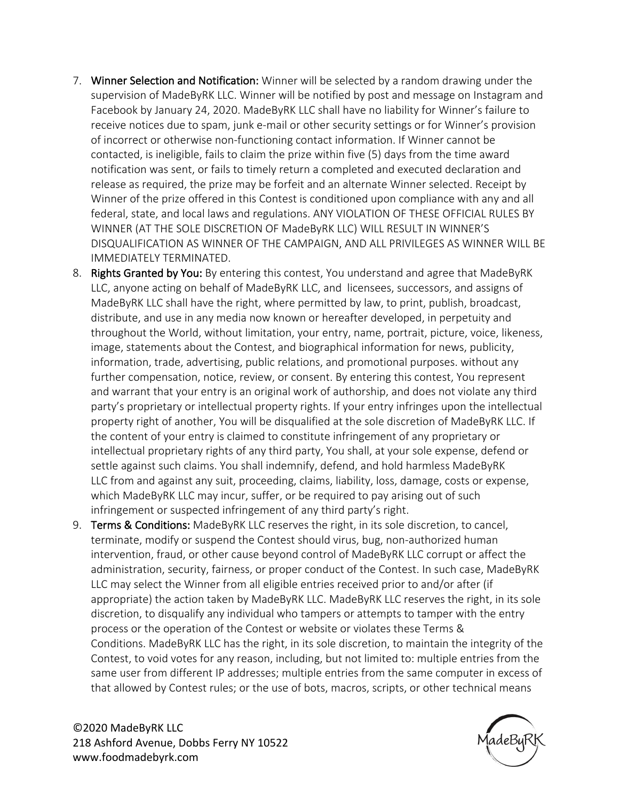- 7. Winner Selection and Notification: Winner will be selected by a random drawing under the supervision of MadeByRK LLC. Winner will be notified by post and message on Instagram and Facebook by January 24, 2020. MadeByRK LLC shall have no liability for Winner's failure to receive notices due to spam, junk e-mail or other security settings or for Winner's provision of incorrect or otherwise non-functioning contact information. If Winner cannot be contacted, is ineligible, fails to claim the prize within five (5) days from the time award notification was sent, or fails to timely return a completed and executed declaration and release as required, the prize may be forfeit and an alternate Winner selected. Receipt by Winner of the prize offered in this Contest is conditioned upon compliance with any and all federal, state, and local laws and regulations. ANY VIOLATION OF THESE OFFICIAL RULES BY WINNER (AT THE SOLE DISCRETION OF MadeByRK LLC) WILL RESULT IN WINNER'S DISQUALIFICATION AS WINNER OF THE CAMPAIGN, AND ALL PRIVILEGES AS WINNER WILL BE IMMEDIATELY TERMINATED.
- 8. Rights Granted by You: By entering this contest, You understand and agree that MadeByRK LLC, anyone acting on behalf of MadeByRK LLC, and licensees, successors, and assigns of MadeByRK LLC shall have the right, where permitted by law, to print, publish, broadcast, distribute, and use in any media now known or hereafter developed, in perpetuity and throughout the World, without limitation, your entry, name, portrait, picture, voice, likeness, image, statements about the Contest, and biographical information for news, publicity, information, trade, advertising, public relations, and promotional purposes. without any further compensation, notice, review, or consent. By entering this contest, You represent and warrant that your entry is an original work of authorship, and does not violate any third party's proprietary or intellectual property rights. If your entry infringes upon the intellectual property right of another, You will be disqualified at the sole discretion of MadeByRK LLC. If the content of your entry is claimed to constitute infringement of any proprietary or intellectual proprietary rights of any third party, You shall, at your sole expense, defend or settle against such claims. You shall indemnify, defend, and hold harmless MadeByRK LLC from and against any suit, proceeding, claims, liability, loss, damage, costs or expense, which MadeByRK LLC may incur, suffer, or be required to pay arising out of such infringement or suspected infringement of any third party's right.
- 9. Terms & Conditions: MadeByRK LLC reserves the right, in its sole discretion, to cancel, terminate, modify or suspend the Contest should virus, bug, non-authorized human intervention, fraud, or other cause beyond control of MadeByRK LLC corrupt or affect the administration, security, fairness, or proper conduct of the Contest. In such case, MadeByRK LLC may select the Winner from all eligible entries received prior to and/or after (if appropriate) the action taken by MadeByRK LLC. MadeByRK LLC reserves the right, in its sole discretion, to disqualify any individual who tampers or attempts to tamper with the entry process or the operation of the Contest or website or violates these Terms & Conditions. MadeByRK LLC has the right, in its sole discretion, to maintain the integrity of the Contest, to void votes for any reason, including, but not limited to: multiple entries from the same user from different IP addresses; multiple entries from the same computer in excess of that allowed by Contest rules; or the use of bots, macros, scripts, or other technical means

©2020 MadeByRK LLC 218 Ashford Avenue, Dobbs Ferry NY 10522 www.foodmadebyrk.com

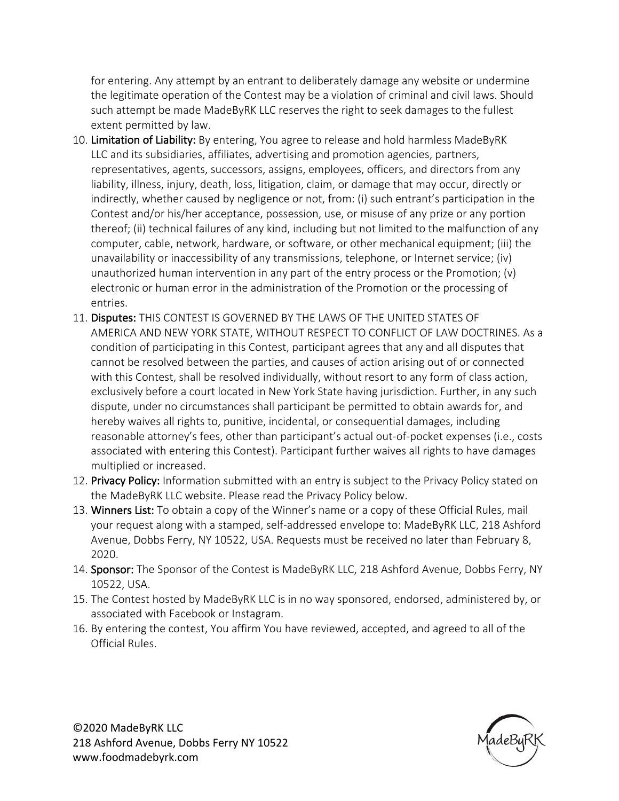for entering. Any attempt by an entrant to deliberately damage any website or undermine the legitimate operation of the Contest may be a violation of criminal and civil laws. Should such attempt be made MadeByRK LLC reserves the right to seek damages to the fullest extent permitted by law.

- 10. Limitation of Liability: By entering, You agree to release and hold harmless MadeByRK LLC and its subsidiaries, affiliates, advertising and promotion agencies, partners, representatives, agents, successors, assigns, employees, officers, and directors from any liability, illness, injury, death, loss, litigation, claim, or damage that may occur, directly or indirectly, whether caused by negligence or not, from: (i) such entrant's participation in the Contest and/or his/her acceptance, possession, use, or misuse of any prize or any portion thereof; (ii) technical failures of any kind, including but not limited to the malfunction of any computer, cable, network, hardware, or software, or other mechanical equipment; (iii) the unavailability or inaccessibility of any transmissions, telephone, or Internet service; (iv) unauthorized human intervention in any part of the entry process or the Promotion; (v) electronic or human error in the administration of the Promotion or the processing of entries.
- 11. Disputes: THIS CONTEST IS GOVERNED BY THE LAWS OF THE UNITED STATES OF AMERICA AND NEW YORK STATE, WITHOUT RESPECT TO CONFLICT OF LAW DOCTRINES. As a condition of participating in this Contest, participant agrees that any and all disputes that cannot be resolved between the parties, and causes of action arising out of or connected with this Contest, shall be resolved individually, without resort to any form of class action, exclusively before a court located in New York State having jurisdiction. Further, in any such dispute, under no circumstances shall participant be permitted to obtain awards for, and hereby waives all rights to, punitive, incidental, or consequential damages, including reasonable attorney's fees, other than participant's actual out-of-pocket expenses (i.e., costs associated with entering this Contest). Participant further waives all rights to have damages multiplied or increased.
- 12. Privacy Policy: Information submitted with an entry is subject to the Privacy Policy stated on the MadeByRK LLC website. Please read the Privacy Policy below.
- 13. Winners List: To obtain a copy of the Winner's name or a copy of these Official Rules, mail your request along with a stamped, self-addressed envelope to: MadeByRK LLC, 218 Ashford Avenue, Dobbs Ferry, NY 10522, USA. Requests must be received no later than February 8, 2020.
- 14. Sponsor: The Sponsor of the Contest is MadeByRK LLC, 218 Ashford Avenue, Dobbs Ferry, NY 10522, USA.
- 15. The Contest hosted by MadeByRK LLC is in no way sponsored, endorsed, administered by, or associated with Facebook or Instagram.
- 16. By entering the contest, You affirm You have reviewed, accepted, and agreed to all of the Official Rules.

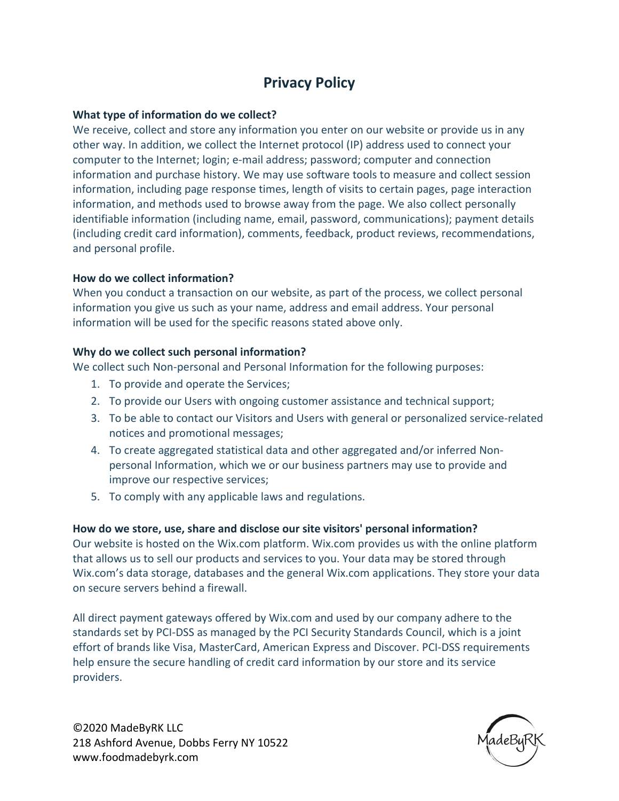# **Privacy Policy**

### **What type of information do we collect?**

We receive, collect and store any information you enter on our website or provide us in any other way. In addition, we collect the Internet protocol (IP) address used to connect your computer to the Internet; login; e-mail address; password; computer and connection information and purchase history. We may use software tools to measure and collect session information, including page response times, length of visits to certain pages, page interaction information, and methods used to browse away from the page. We also collect personally identifiable information (including name, email, password, communications); payment details (including credit card information), comments, feedback, product reviews, recommendations, and personal profile.

#### **How do we collect information?**

When you conduct a transaction on our website, as part of the process, we collect personal information you give us such as your name, address and email address. Your personal information will be used for the specific reasons stated above only.

#### **Why do we collect such personal information?**

We collect such Non-personal and Personal Information for the following purposes:

- 1. To provide and operate the Services;
- 2. To provide our Users with ongoing customer assistance and technical support;
- 3. To be able to contact our Visitors and Users with general or personalized service-related notices and promotional messages;
- 4. To create aggregated statistical data and other aggregated and/or inferred Nonpersonal Information, which we or our business partners may use to provide and improve our respective services;
- 5. To comply with any applicable laws and regulations.

## **How do we store, use, share and disclose our site visitors' personal information?**

Our website is hosted on the Wix.com platform. Wix.com provides us with the online platform that allows us to sell our products and services to you. Your data may be stored through Wix.com's data storage, databases and the general Wix.com applications. They store your data on secure servers behind a firewall.

All direct payment gateways offered by Wix.com and used by our company adhere to the standards set by PCI-DSS as managed by the PCI Security Standards Council, which is a joint effort of brands like Visa, MasterCard, American Express and Discover. PCI-DSS requirements help ensure the secure handling of credit card information by our store and its service providers.